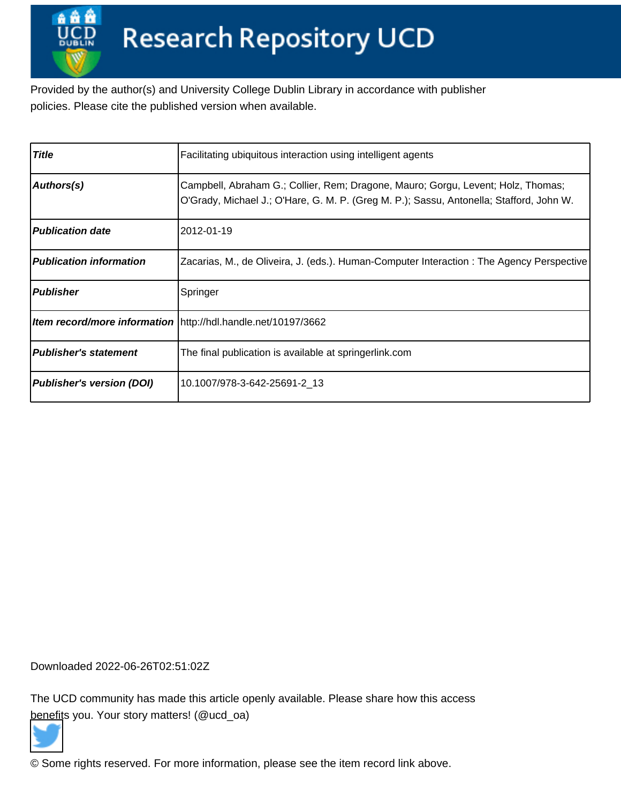Provided by the author(s) and University College Dublin Library in accordance with publisher policies. Please cite the published version when available.

| Title                            | Facilitating ubiquitous interaction using intelligent agents                                                                                                                |
|----------------------------------|-----------------------------------------------------------------------------------------------------------------------------------------------------------------------------|
| Authors(s)                       | Campbell, Abraham G.; Collier, Rem; Dragone, Mauro; Gorgu, Levent; Holz, Thomas;<br>O'Grady, Michael J.; O'Hare, G. M. P. (Greg M. P.); Sassu, Antonella; Stafford, John W. |
| <b>Publication date</b>          | 2012-01-19                                                                                                                                                                  |
| <b>Publication information</b>   | Zacarias, M., de Oliveira, J. (eds.). Human-Computer Interaction : The Agency Perspective                                                                                   |
| <b>Publisher</b>                 | Springer                                                                                                                                                                    |
|                                  | Item record/more information   http://hdl.handle.net/10197/3662                                                                                                             |
| <b>Publisher's statement</b>     | The final publication is available at springerlink.com                                                                                                                      |
| <b>Publisher's version (DOI)</b> | 10.1007/978-3-642-25691-2 13                                                                                                                                                |

Downloaded 2022-06-26T02:51:02Z

The UCD community has made this article openly available. Please share how this access [benefit](https://twitter.com/intent/tweet?via=ucd_oa&text=DOI%3A10.1007%2F978-3-642-25691-2_13&url=http%3A%2F%2Fhdl.handle.net%2F10197%2F3662)s you. Your story matters! (@ucd\_oa)



© Some rights reserved. For more information, please see the item record link above.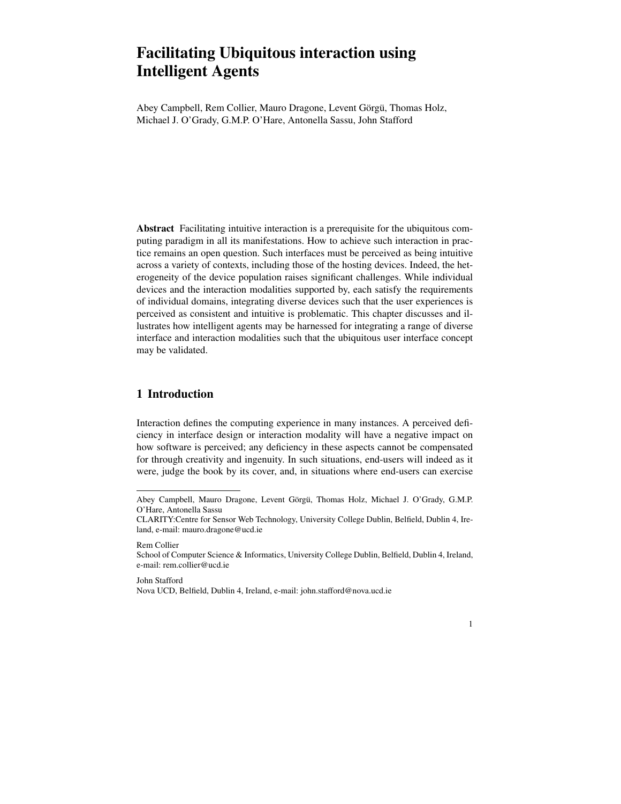# Facilitating Ubiquitous interaction using Intelligent Agents

Abey Campbell, Rem Collier, Mauro Dragone, Levent Görgü, Thomas Holz, Michael J. O'Grady, G.M.P. O'Hare, Antonella Sassu, John Stafford

Abstract Facilitating intuitive interaction is a prerequisite for the ubiquitous computing paradigm in all its manifestations. How to achieve such interaction in practice remains an open question. Such interfaces must be perceived as being intuitive across a variety of contexts, including those of the hosting devices. Indeed, the heterogeneity of the device population raises significant challenges. While individual devices and the interaction modalities supported by, each satisfy the requirements of individual domains, integrating diverse devices such that the user experiences is perceived as consistent and intuitive is problematic. This chapter discusses and illustrates how intelligent agents may be harnessed for integrating a range of diverse interface and interaction modalities such that the ubiquitous user interface concept may be validated.

# 1 Introduction

Interaction defines the computing experience in many instances. A perceived deficiency in interface design or interaction modality will have a negative impact on how software is perceived; any deficiency in these aspects cannot be compensated for through creativity and ingenuity. In such situations, end-users will indeed as it were, judge the book by its cover, and, in situations where end-users can exercise

Rem Collier School of Computer Science & Informatics, University College Dublin, Belfield, Dublin 4, Ireland, e-mail: rem.collier@ucd.ie

John Stafford Nova UCD, Belfield, Dublin 4, Ireland, e-mail: john.stafford@nova.ucd.ie



Abey Campbell, Mauro Dragone, Levent Görgü, Thomas Holz, Michael J. O'Grady, G.M.P. O'Hare, Antonella Sassu

CLARITY:Centre for Sensor Web Technology, University College Dublin, Belfield, Dublin 4, Ireland, e-mail: mauro.dragone@ucd.ie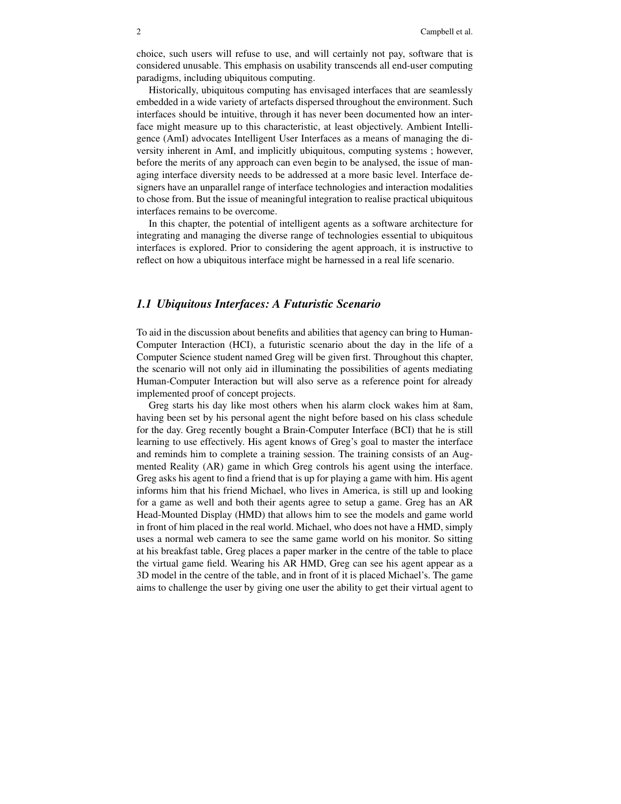choice, such users will refuse to use, and will certainly not pay, software that is considered unusable. This emphasis on usability transcends all end-user computing paradigms, including ubiquitous computing.

Historically, ubiquitous computing has envisaged interfaces that are seamlessly embedded in a wide variety of artefacts dispersed throughout the environment. Such interfaces should be intuitive, through it has never been documented how an interface might measure up to this characteristic, at least objectively. Ambient Intelligence (AmI) advocates Intelligent User Interfaces as a means of managing the diversity inherent in AmI, and implicitly ubiquitous, computing systems ; however, before the merits of any approach can even begin to be analysed, the issue of managing interface diversity needs to be addressed at a more basic level. Interface designers have an unparallel range of interface technologies and interaction modalities to chose from. But the issue of meaningful integration to realise practical ubiquitous interfaces remains to be overcome.

In this chapter, the potential of intelligent agents as a software architecture for integrating and managing the diverse range of technologies essential to ubiquitous interfaces is explored. Prior to considering the agent approach, it is instructive to reflect on how a ubiquitous interface might be harnessed in a real life scenario.

### *1.1 Ubiquitous Interfaces: A Futuristic Scenario*

To aid in the discussion about benefits and abilities that agency can bring to Human-Computer Interaction (HCI), a futuristic scenario about the day in the life of a Computer Science student named Greg will be given first. Throughout this chapter, the scenario will not only aid in illuminating the possibilities of agents mediating Human-Computer Interaction but will also serve as a reference point for already implemented proof of concept projects.

Greg starts his day like most others when his alarm clock wakes him at 8am, having been set by his personal agent the night before based on his class schedule for the day. Greg recently bought a Brain-Computer Interface (BCI) that he is still learning to use effectively. His agent knows of Greg's goal to master the interface and reminds him to complete a training session. The training consists of an Augmented Reality (AR) game in which Greg controls his agent using the interface. Greg asks his agent to find a friend that is up for playing a game with him. His agent informs him that his friend Michael, who lives in America, is still up and looking for a game as well and both their agents agree to setup a game. Greg has an AR Head-Mounted Display (HMD) that allows him to see the models and game world in front of him placed in the real world. Michael, who does not have a HMD, simply uses a normal web camera to see the same game world on his monitor. So sitting at his breakfast table, Greg places a paper marker in the centre of the table to place the virtual game field. Wearing his AR HMD, Greg can see his agent appear as a 3D model in the centre of the table, and in front of it is placed Michael's. The game aims to challenge the user by giving one user the ability to get their virtual agent to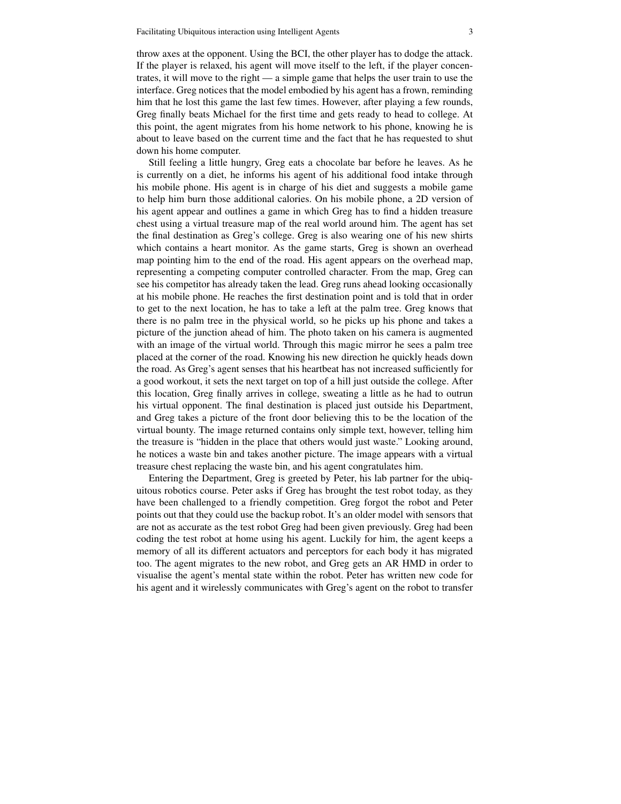throw axes at the opponent. Using the BCI, the other player has to dodge the attack. If the player is relaxed, his agent will move itself to the left, if the player concentrates, it will move to the right — a simple game that helps the user train to use the interface. Greg notices that the model embodied by his agent has a frown, reminding him that he lost this game the last few times. However, after playing a few rounds, Greg finally beats Michael for the first time and gets ready to head to college. At this point, the agent migrates from his home network to his phone, knowing he is about to leave based on the current time and the fact that he has requested to shut down his home computer.

Still feeling a little hungry, Greg eats a chocolate bar before he leaves. As he is currently on a diet, he informs his agent of his additional food intake through his mobile phone. His agent is in charge of his diet and suggests a mobile game to help him burn those additional calories. On his mobile phone, a 2D version of his agent appear and outlines a game in which Greg has to find a hidden treasure chest using a virtual treasure map of the real world around him. The agent has set the final destination as Greg's college. Greg is also wearing one of his new shirts which contains a heart monitor. As the game starts, Greg is shown an overhead map pointing him to the end of the road. His agent appears on the overhead map, representing a competing computer controlled character. From the map, Greg can see his competitor has already taken the lead. Greg runs ahead looking occasionally at his mobile phone. He reaches the first destination point and is told that in order to get to the next location, he has to take a left at the palm tree. Greg knows that there is no palm tree in the physical world, so he picks up his phone and takes a picture of the junction ahead of him. The photo taken on his camera is augmented with an image of the virtual world. Through this magic mirror he sees a palm tree placed at the corner of the road. Knowing his new direction he quickly heads down the road. As Greg's agent senses that his heartbeat has not increased sufficiently for a good workout, it sets the next target on top of a hill just outside the college. After this location, Greg finally arrives in college, sweating a little as he had to outrun his virtual opponent. The final destination is placed just outside his Department, and Greg takes a picture of the front door believing this to be the location of the virtual bounty. The image returned contains only simple text, however, telling him the treasure is "hidden in the place that others would just waste." Looking around, he notices a waste bin and takes another picture. The image appears with a virtual treasure chest replacing the waste bin, and his agent congratulates him.

Entering the Department, Greg is greeted by Peter, his lab partner for the ubiquitous robotics course. Peter asks if Greg has brought the test robot today, as they have been challenged to a friendly competition. Greg forgot the robot and Peter points out that they could use the backup robot. It's an older model with sensors that are not as accurate as the test robot Greg had been given previously. Greg had been coding the test robot at home using his agent. Luckily for him, the agent keeps a memory of all its different actuators and perceptors for each body it has migrated too. The agent migrates to the new robot, and Greg gets an AR HMD in order to visualise the agent's mental state within the robot. Peter has written new code for his agent and it wirelessly communicates with Greg's agent on the robot to transfer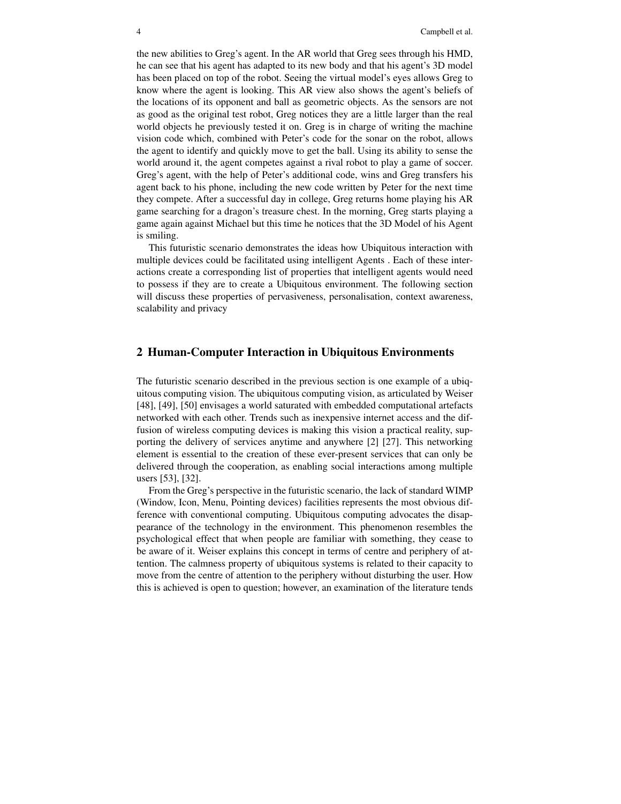the new abilities to Greg's agent. In the AR world that Greg sees through his HMD, he can see that his agent has adapted to its new body and that his agent's 3D model has been placed on top of the robot. Seeing the virtual model's eyes allows Greg to know where the agent is looking. This AR view also shows the agent's beliefs of the locations of its opponent and ball as geometric objects. As the sensors are not as good as the original test robot, Greg notices they are a little larger than the real world objects he previously tested it on. Greg is in charge of writing the machine vision code which, combined with Peter's code for the sonar on the robot, allows the agent to identify and quickly move to get the ball. Using its ability to sense the world around it, the agent competes against a rival robot to play a game of soccer. Greg's agent, with the help of Peter's additional code, wins and Greg transfers his agent back to his phone, including the new code written by Peter for the next time they compete. After a successful day in college, Greg returns home playing his AR game searching for a dragon's treasure chest. In the morning, Greg starts playing a game again against Michael but this time he notices that the 3D Model of his Agent is smiling.

This futuristic scenario demonstrates the ideas how Ubiquitous interaction with multiple devices could be facilitated using intelligent Agents . Each of these interactions create a corresponding list of properties that intelligent agents would need to possess if they are to create a Ubiquitous environment. The following section will discuss these properties of pervasiveness, personalisation, context awareness, scalability and privacy

### 2 Human-Computer Interaction in Ubiquitous Environments

The futuristic scenario described in the previous section is one example of a ubiquitous computing vision. The ubiquitous computing vision, as articulated by Weiser [48], [49], [50] envisages a world saturated with embedded computational artefacts networked with each other. Trends such as inexpensive internet access and the diffusion of wireless computing devices is making this vision a practical reality, supporting the delivery of services anytime and anywhere [2] [27]. This networking element is essential to the creation of these ever-present services that can only be delivered through the cooperation, as enabling social interactions among multiple users [53], [32].

From the Greg's perspective in the futuristic scenario, the lack of standard WIMP (Window, Icon, Menu, Pointing devices) facilities represents the most obvious difference with conventional computing. Ubiquitous computing advocates the disappearance of the technology in the environment. This phenomenon resembles the psychological effect that when people are familiar with something, they cease to be aware of it. Weiser explains this concept in terms of centre and periphery of attention. The calmness property of ubiquitous systems is related to their capacity to move from the centre of attention to the periphery without disturbing the user. How this is achieved is open to question; however, an examination of the literature tends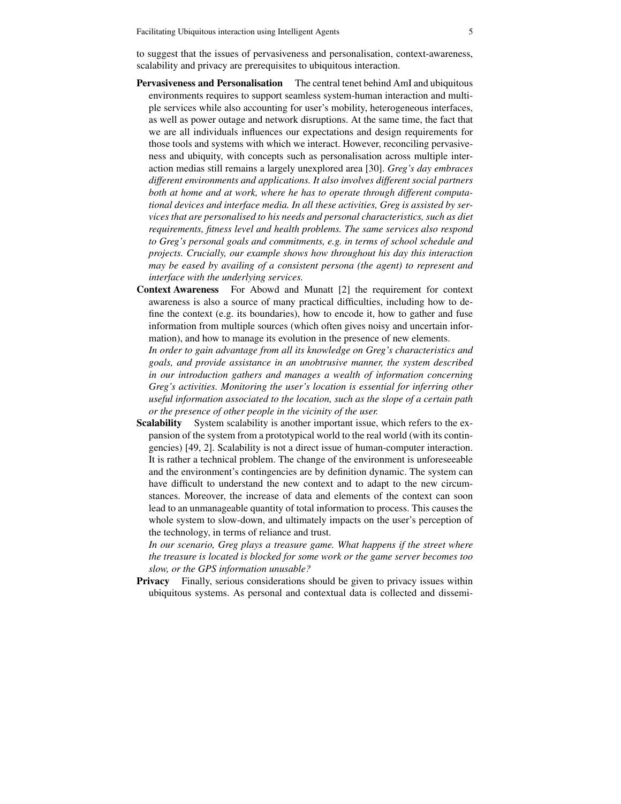to suggest that the issues of pervasiveness and personalisation, context-awareness, scalability and privacy are prerequisites to ubiquitous interaction.

- Pervasiveness and Personalisation The central tenet behind AmI and ubiquitous environments requires to support seamless system-human interaction and multiple services while also accounting for user's mobility, heterogeneous interfaces, as well as power outage and network disruptions. At the same time, the fact that we are all individuals influences our expectations and design requirements for those tools and systems with which we interact. However, reconciling pervasiveness and ubiquity, with concepts such as personalisation across multiple interaction medias still remains a largely unexplored area [30]. *Greg's day embraces different environments and applications. It also involves different social partners both at home and at work, where he has to operate through different computational devices and interface media. In all these activities, Greg is assisted by services that are personalised to his needs and personal characteristics, such as diet requirements, fitness level and health problems. The same services also respond to Greg's personal goals and commitments, e.g. in terms of school schedule and projects. Crucially, our example shows how throughout his day this interaction may be eased by availing of a consistent persona (the agent) to represent and interface with the underlying services.*
- Context Awareness For Abowd and Munatt [2] the requirement for context awareness is also a source of many practical difficulties, including how to define the context (e.g. its boundaries), how to encode it, how to gather and fuse information from multiple sources (which often gives noisy and uncertain information), and how to manage its evolution in the presence of new elements.

*In order to gain advantage from all its knowledge on Greg's characteristics and goals, and provide assistance in an unobtrusive manner, the system described in our introduction gathers and manages a wealth of information concerning Greg's activities. Monitoring the user's location is essential for inferring other useful information associated to the location, such as the slope of a certain path or the presence of other people in the vicinity of the user.*

Scalability System scalability is another important issue, which refers to the expansion of the system from a prototypical world to the real world (with its contingencies) [49, 2]. Scalability is not a direct issue of human-computer interaction. It is rather a technical problem. The change of the environment is unforeseeable and the environment's contingencies are by definition dynamic. The system can have difficult to understand the new context and to adapt to the new circumstances. Moreover, the increase of data and elements of the context can soon lead to an unmanageable quantity of total information to process. This causes the whole system to slow-down, and ultimately impacts on the user's perception of the technology, in terms of reliance and trust.

*In our scenario, Greg plays a treasure game. What happens if the street where the treasure is located is blocked for some work or the game server becomes too slow, or the GPS information unusable?*

Privacy Finally, serious considerations should be given to privacy issues within ubiquitous systems. As personal and contextual data is collected and dissemi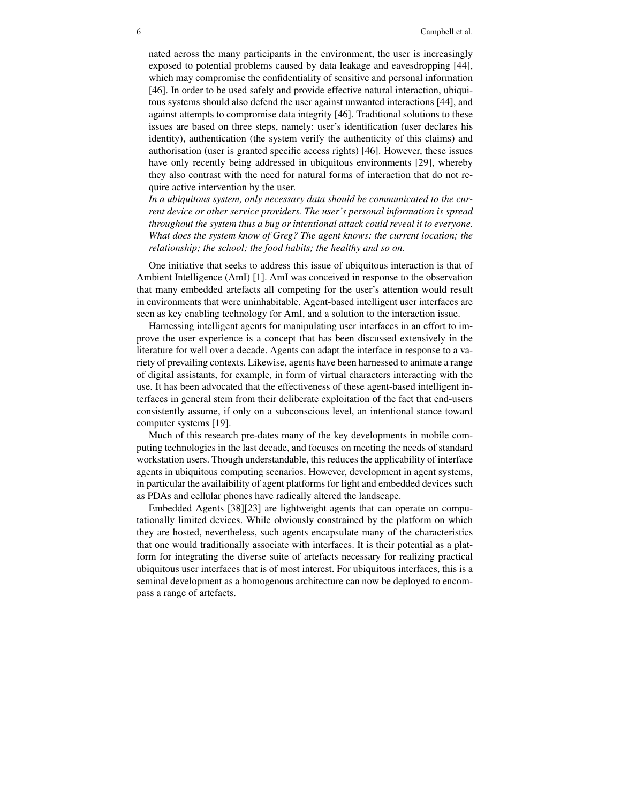nated across the many participants in the environment, the user is increasingly exposed to potential problems caused by data leakage and eavesdropping [44], which may compromise the confidentiality of sensitive and personal information [46]. In order to be used safely and provide effective natural interaction, ubiquitous systems should also defend the user against unwanted interactions [44], and against attempts to compromise data integrity [46]. Traditional solutions to these issues are based on three steps, namely: user's identification (user declares his identity), authentication (the system verify the authenticity of this claims) and authorisation (user is granted specific access rights) [46]. However, these issues have only recently being addressed in ubiquitous environments [29], whereby they also contrast with the need for natural forms of interaction that do not require active intervention by the user.

*In a ubiquitous system, only necessary data should be communicated to the current device or other service providers. The user's personal information is spread throughout the system thus a bug or intentional attack could reveal it to everyone. What does the system know of Greg? The agent knows: the current location; the relationship; the school; the food habits; the healthy and so on.*

One initiative that seeks to address this issue of ubiquitous interaction is that of Ambient Intelligence (AmI) [1]. AmI was conceived in response to the observation that many embedded artefacts all competing for the user's attention would result in environments that were uninhabitable. Agent-based intelligent user interfaces are seen as key enabling technology for AmI, and a solution to the interaction issue.

Harnessing intelligent agents for manipulating user interfaces in an effort to improve the user experience is a concept that has been discussed extensively in the literature for well over a decade. Agents can adapt the interface in response to a variety of prevailing contexts. Likewise, agents have been harnessed to animate a range of digital assistants, for example, in form of virtual characters interacting with the use. It has been advocated that the effectiveness of these agent-based intelligent interfaces in general stem from their deliberate exploitation of the fact that end-users consistently assume, if only on a subconscious level, an intentional stance toward computer systems [19].

Much of this research pre-dates many of the key developments in mobile computing technologies in the last decade, and focuses on meeting the needs of standard workstation users. Though understandable, this reduces the applicability of interface agents in ubiquitous computing scenarios. However, development in agent systems, in particular the availaibility of agent platforms for light and embedded devices such as PDAs and cellular phones have radically altered the landscape.

Embedded Agents [38][23] are lightweight agents that can operate on computationally limited devices. While obviously constrained by the platform on which they are hosted, nevertheless, such agents encapsulate many of the characteristics that one would traditionally associate with interfaces. It is their potential as a platform for integrating the diverse suite of artefacts necessary for realizing practical ubiquitous user interfaces that is of most interest. For ubiquitous interfaces, this is a seminal development as a homogenous architecture can now be deployed to encompass a range of artefacts.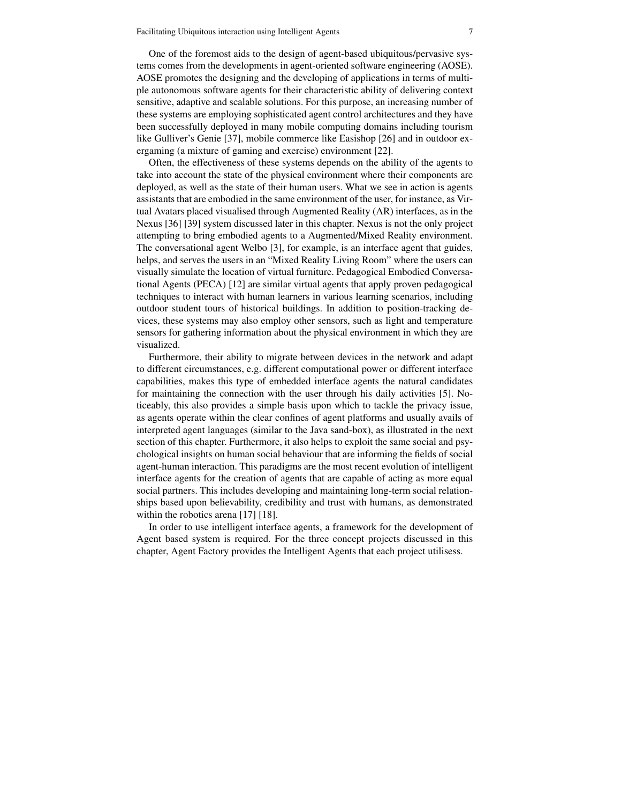One of the foremost aids to the design of agent-based ubiquitous/pervasive systems comes from the developments in agent-oriented software engineering (AOSE). AOSE promotes the designing and the developing of applications in terms of multiple autonomous software agents for their characteristic ability of delivering context sensitive, adaptive and scalable solutions. For this purpose, an increasing number of these systems are employing sophisticated agent control architectures and they have been successfully deployed in many mobile computing domains including tourism like Gulliver's Genie [37], mobile commerce like Easishop [26] and in outdoor exergaming (a mixture of gaming and exercise) environment [22].

Often, the effectiveness of these systems depends on the ability of the agents to take into account the state of the physical environment where their components are deployed, as well as the state of their human users. What we see in action is agents assistants that are embodied in the same environment of the user, for instance, as Virtual Avatars placed visualised through Augmented Reality (AR) interfaces, as in the Nexus [36] [39] system discussed later in this chapter. Nexus is not the only project attempting to bring embodied agents to a Augmented/Mixed Reality environment. The conversational agent Welbo [3], for example, is an interface agent that guides, helps, and serves the users in an "Mixed Reality Living Room" where the users can visually simulate the location of virtual furniture. Pedagogical Embodied Conversational Agents (PECA) [12] are similar virtual agents that apply proven pedagogical techniques to interact with human learners in various learning scenarios, including outdoor student tours of historical buildings. In addition to position-tracking devices, these systems may also employ other sensors, such as light and temperature sensors for gathering information about the physical environment in which they are visualized.

Furthermore, their ability to migrate between devices in the network and adapt to different circumstances, e.g. different computational power or different interface capabilities, makes this type of embedded interface agents the natural candidates for maintaining the connection with the user through his daily activities [5]. Noticeably, this also provides a simple basis upon which to tackle the privacy issue, as agents operate within the clear confines of agent platforms and usually avails of interpreted agent languages (similar to the Java sand-box), as illustrated in the next section of this chapter. Furthermore, it also helps to exploit the same social and psychological insights on human social behaviour that are informing the fields of social agent-human interaction. This paradigms are the most recent evolution of intelligent interface agents for the creation of agents that are capable of acting as more equal social partners. This includes developing and maintaining long-term social relationships based upon believability, credibility and trust with humans, as demonstrated within the robotics arena [17] [18].

In order to use intelligent interface agents, a framework for the development of Agent based system is required. For the three concept projects discussed in this chapter, Agent Factory provides the Intelligent Agents that each project utilisess.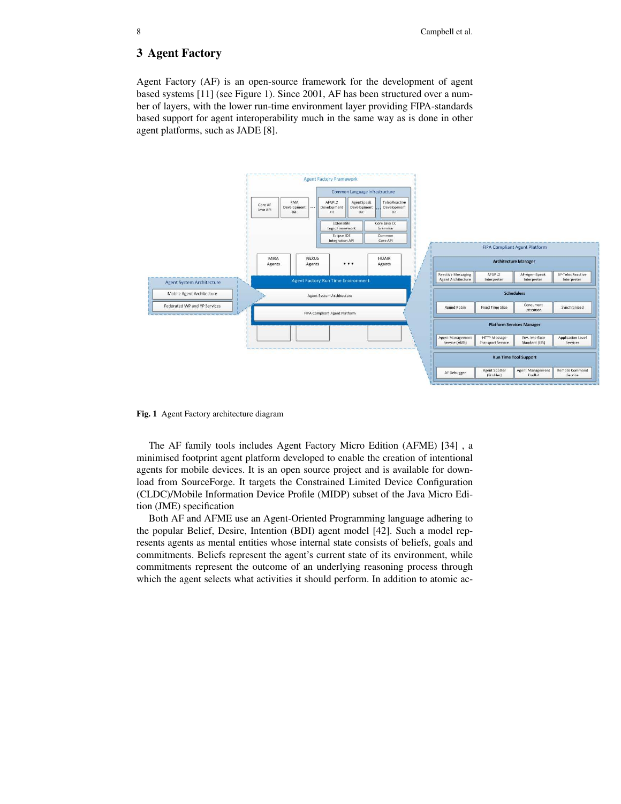# 3 Agent Factory

Agent Factory (AF) is an open-source framework for the development of agent based systems [11] (see Figure 1). Since 2001, AF has been structured over a number of layers, with the lower run-time environment layer providing FIPA-standards based support for agent interoperability much in the same way as is done in other agent platforms, such as JADE [8].



Fig. 1 Agent Factory architecture diagram

The AF family tools includes Agent Factory Micro Edition (AFME) [34] , a minimised footprint agent platform developed to enable the creation of intentional agents for mobile devices. It is an open source project and is available for download from SourceForge. It targets the Constrained Limited Device Configuration (CLDC)/Mobile Information Device Profile (MIDP) subset of the Java Micro Edition (JME) specification

Both AF and AFME use an Agent-Oriented Programming language adhering to the popular Belief, Desire, Intention (BDI) agent model [42]. Such a model represents agents as mental entities whose internal state consists of beliefs, goals and commitments. Beliefs represent the agent's current state of its environment, while commitments represent the outcome of an underlying reasoning process through which the agent selects what activities it should perform. In addition to atomic ac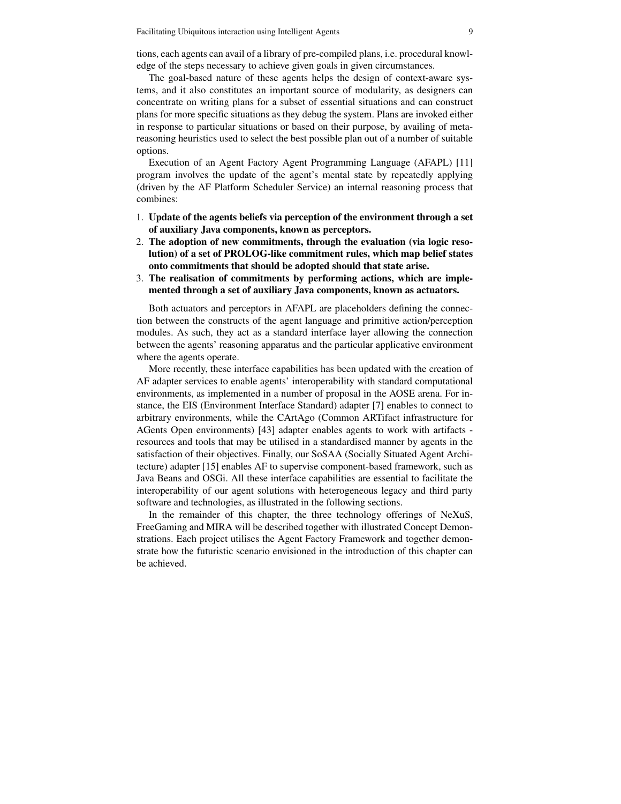tions, each agents can avail of a library of pre-compiled plans, i.e. procedural knowledge of the steps necessary to achieve given goals in given circumstances.

The goal-based nature of these agents helps the design of context-aware systems, and it also constitutes an important source of modularity, as designers can concentrate on writing plans for a subset of essential situations and can construct plans for more specific situations as they debug the system. Plans are invoked either in response to particular situations or based on their purpose, by availing of metareasoning heuristics used to select the best possible plan out of a number of suitable options.

Execution of an Agent Factory Agent Programming Language (AFAPL) [11] program involves the update of the agent's mental state by repeatedly applying (driven by the AF Platform Scheduler Service) an internal reasoning process that combines:

- 1. Update of the agents beliefs via perception of the environment through a set of auxiliary Java components, known as perceptors.
- 2. The adoption of new commitments, through the evaluation (via logic resolution) of a set of PROLOG-like commitment rules, which map belief states onto commitments that should be adopted should that state arise.
- 3. The realisation of commitments by performing actions, which are implemented through a set of auxiliary Java components, known as actuators.

Both actuators and perceptors in AFAPL are placeholders defining the connection between the constructs of the agent language and primitive action/perception modules. As such, they act as a standard interface layer allowing the connection between the agents' reasoning apparatus and the particular applicative environment where the agents operate.

More recently, these interface capabilities has been updated with the creation of AF adapter services to enable agents' interoperability with standard computational environments, as implemented in a number of proposal in the AOSE arena. For instance, the EIS (Environment Interface Standard) adapter [7] enables to connect to arbitrary environments, while the CArtAgo (Common ARTifact infrastructure for AGents Open environments) [43] adapter enables agents to work with artifacts resources and tools that may be utilised in a standardised manner by agents in the satisfaction of their objectives. Finally, our SoSAA (Socially Situated Agent Architecture) adapter [15] enables AF to supervise component-based framework, such as Java Beans and OSGi. All these interface capabilities are essential to facilitate the interoperability of our agent solutions with heterogeneous legacy and third party software and technologies, as illustrated in the following sections.

In the remainder of this chapter, the three technology offerings of NeXuS, FreeGaming and MIRA will be described together with illustrated Concept Demonstrations. Each project utilises the Agent Factory Framework and together demonstrate how the futuristic scenario envisioned in the introduction of this chapter can be achieved.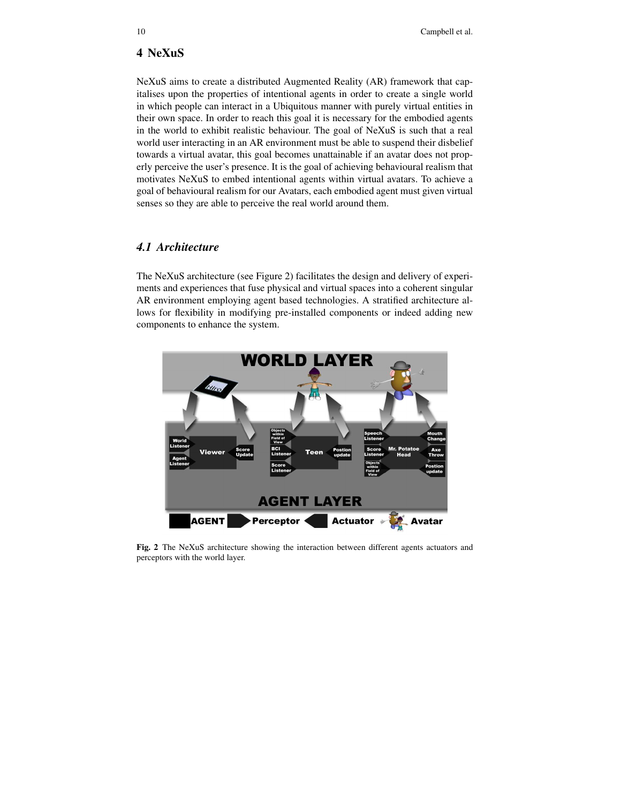#### 4 NeXuS

NeXuS aims to create a distributed Augmented Reality (AR) framework that capitalises upon the properties of intentional agents in order to create a single world in which people can interact in a Ubiquitous manner with purely virtual entities in their own space. In order to reach this goal it is necessary for the embodied agents in the world to exhibit realistic behaviour. The goal of NeXuS is such that a real world user interacting in an AR environment must be able to suspend their disbelief towards a virtual avatar, this goal becomes unattainable if an avatar does not properly perceive the user's presence. It is the goal of achieving behavioural realism that motivates NeXuS to embed intentional agents within virtual avatars. To achieve a goal of behavioural realism for our Avatars, each embodied agent must given virtual senses so they are able to perceive the real world around them.

# *4.1 Architecture*

The NeXuS architecture (see Figure 2) facilitates the design and delivery of experiments and experiences that fuse physical and virtual spaces into a coherent singular AR environment employing agent based technologies. A stratified architecture allows for flexibility in modifying pre-installed components or indeed adding new components to enhance the system.



Fig. 2 The NeXuS architecture showing the interaction between different agents actuators and perceptors with the world layer.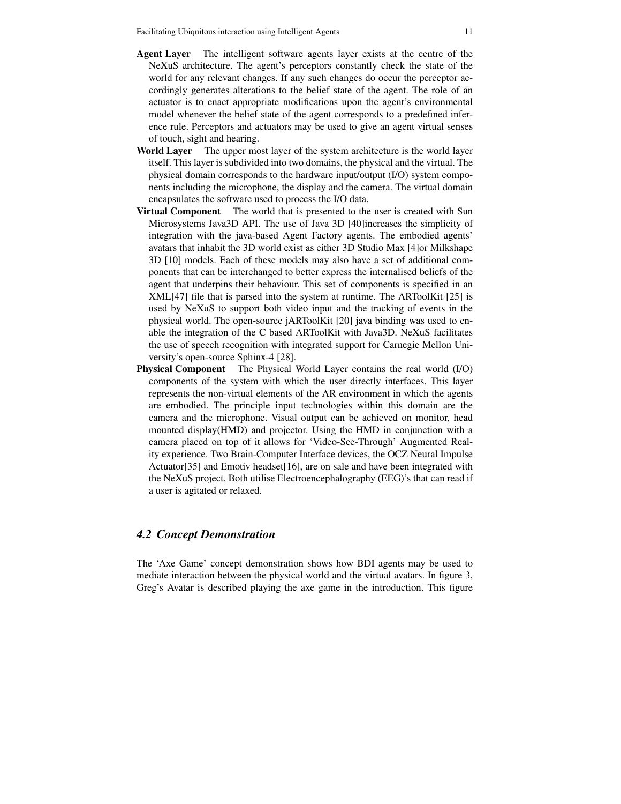- Agent Layer The intelligent software agents layer exists at the centre of the NeXuS architecture. The agent's perceptors constantly check the state of the world for any relevant changes. If any such changes do occur the perceptor accordingly generates alterations to the belief state of the agent. The role of an actuator is to enact appropriate modifications upon the agent's environmental model whenever the belief state of the agent corresponds to a predefined inference rule. Perceptors and actuators may be used to give an agent virtual senses of touch, sight and hearing.
- World Layer The upper most layer of the system architecture is the world layer itself. This layer is subdivided into two domains, the physical and the virtual. The physical domain corresponds to the hardware input/output (I/O) system components including the microphone, the display and the camera. The virtual domain encapsulates the software used to process the I/O data.
- Virtual Component The world that is presented to the user is created with Sun Microsystems Java3D API. The use of Java 3D [40]increases the simplicity of integration with the java-based Agent Factory agents. The embodied agents' avatars that inhabit the 3D world exist as either 3D Studio Max [4]or Milkshape 3D [10] models. Each of these models may also have a set of additional components that can be interchanged to better express the internalised beliefs of the agent that underpins their behaviour. This set of components is specified in an XML[47] file that is parsed into the system at runtime. The ARToolKit [25] is used by NeXuS to support both video input and the tracking of events in the physical world. The open-source jARToolKit [20] java binding was used to enable the integration of the C based ARToolKit with Java3D. NeXuS facilitates the use of speech recognition with integrated support for Carnegie Mellon University's open-source Sphinx-4 [28].
- Physical Component The Physical World Layer contains the real world (I/O) components of the system with which the user directly interfaces. This layer represents the non-virtual elements of the AR environment in which the agents are embodied. The principle input technologies within this domain are the camera and the microphone. Visual output can be achieved on monitor, head mounted display(HMD) and projector. Using the HMD in conjunction with a camera placed on top of it allows for 'Video-See-Through' Augmented Reality experience. Two Brain-Computer Interface devices, the OCZ Neural Impulse Actuator[35] and Emotiv headset[16], are on sale and have been integrated with the NeXuS project. Both utilise Electroencephalography (EEG)'s that can read if a user is agitated or relaxed.

# *4.2 Concept Demonstration*

The 'Axe Game' concept demonstration shows how BDI agents may be used to mediate interaction between the physical world and the virtual avatars. In figure 3, Greg's Avatar is described playing the axe game in the introduction. This figure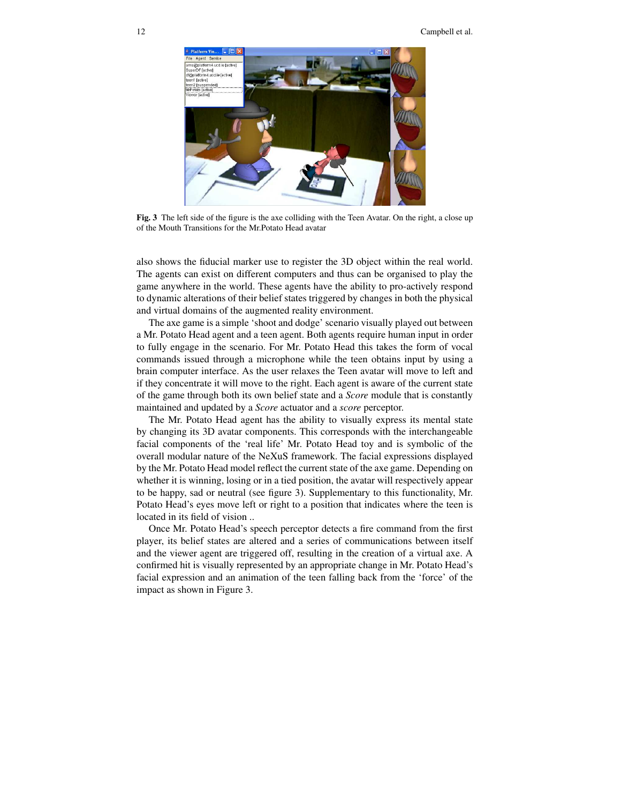

Fig. 3 The left side of the figure is the axe colliding with the Teen Avatar. On the right, a close up of the Mouth Transitions for the Mr.Potato Head avatar

also shows the fiducial marker use to register the 3D object within the real world. The agents can exist on different computers and thus can be organised to play the game anywhere in the world. These agents have the ability to pro-actively respond to dynamic alterations of their belief states triggered by changes in both the physical and virtual domains of the augmented reality environment.

The axe game is a simple 'shoot and dodge' scenario visually played out between a Mr. Potato Head agent and a teen agent. Both agents require human input in order to fully engage in the scenario. For Mr. Potato Head this takes the form of vocal commands issued through a microphone while the teen obtains input by using a brain computer interface. As the user relaxes the Teen avatar will move to left and if they concentrate it will move to the right. Each agent is aware of the current state of the game through both its own belief state and a *Score* module that is constantly maintained and updated by a *Score* actuator and a *score* perceptor.

The Mr. Potato Head agent has the ability to visually express its mental state by changing its 3D avatar components. This corresponds with the interchangeable facial components of the 'real life' Mr. Potato Head toy and is symbolic of the overall modular nature of the NeXuS framework. The facial expressions displayed by the Mr. Potato Head model reflect the current state of the axe game. Depending on whether it is winning, losing or in a tied position, the avatar will respectively appear to be happy, sad or neutral (see figure 3). Supplementary to this functionality, Mr. Potato Head's eyes move left or right to a position that indicates where the teen is located in its field of vision ..

Once Mr. Potato Head's speech perceptor detects a fire command from the first player, its belief states are altered and a series of communications between itself and the viewer agent are triggered off, resulting in the creation of a virtual axe. A confirmed hit is visually represented by an appropriate change in Mr. Potato Head's facial expression and an animation of the teen falling back from the 'force' of the impact as shown in Figure 3.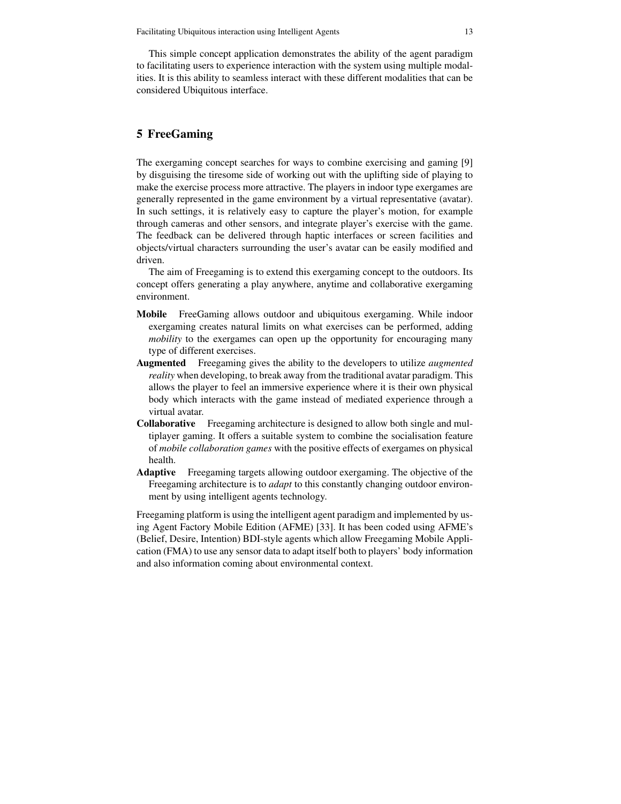This simple concept application demonstrates the ability of the agent paradigm to facilitating users to experience interaction with the system using multiple modalities. It is this ability to seamless interact with these different modalities that can be considered Ubiquitous interface.

# 5 FreeGaming

The exergaming concept searches for ways to combine exercising and gaming [9] by disguising the tiresome side of working out with the uplifting side of playing to make the exercise process more attractive. The players in indoor type exergames are generally represented in the game environment by a virtual representative (avatar). In such settings, it is relatively easy to capture the player's motion, for example through cameras and other sensors, and integrate player's exercise with the game. The feedback can be delivered through haptic interfaces or screen facilities and objects/virtual characters surrounding the user's avatar can be easily modified and driven.

The aim of Freegaming is to extend this exergaming concept to the outdoors. Its concept offers generating a play anywhere, anytime and collaborative exergaming environment.

- Mobile FreeGaming allows outdoor and ubiquitous exergaming. While indoor exergaming creates natural limits on what exercises can be performed, adding *mobility* to the exergames can open up the opportunity for encouraging many type of different exercises.
- Augmented Freegaming gives the ability to the developers to utilize *augmented reality* when developing, to break away from the traditional avatar paradigm. This allows the player to feel an immersive experience where it is their own physical body which interacts with the game instead of mediated experience through a virtual avatar.
- Collaborative Freegaming architecture is designed to allow both single and multiplayer gaming. It offers a suitable system to combine the socialisation feature of *mobile collaboration games* with the positive effects of exergames on physical health.
- Adaptive Freegaming targets allowing outdoor exergaming. The objective of the Freegaming architecture is to *adapt* to this constantly changing outdoor environment by using intelligent agents technology.

Freegaming platform is using the intelligent agent paradigm and implemented by using Agent Factory Mobile Edition (AFME) [33]. It has been coded using AFME's (Belief, Desire, Intention) BDI-style agents which allow Freegaming Mobile Application (FMA) to use any sensor data to adapt itself both to players' body information and also information coming about environmental context.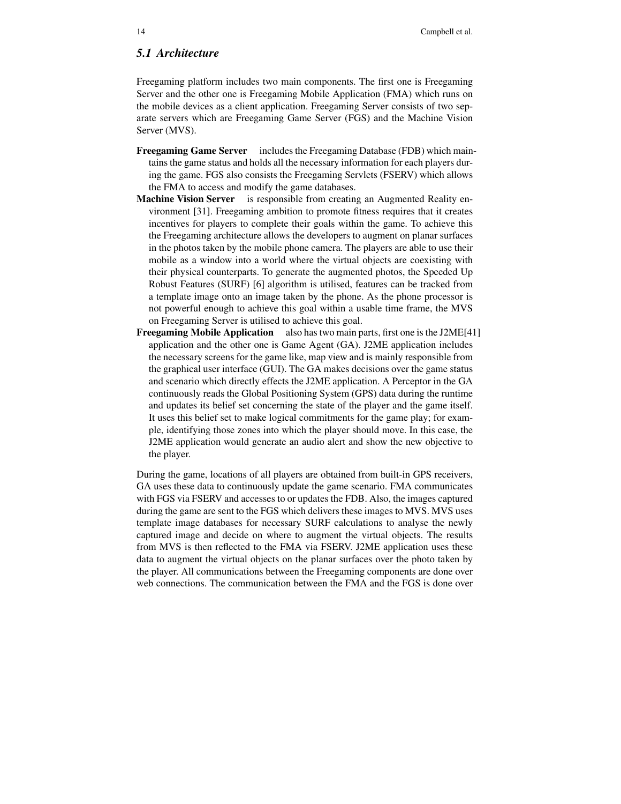## *5.1 Architecture*

Freegaming platform includes two main components. The first one is Freegaming Server and the other one is Freegaming Mobile Application (FMA) which runs on the mobile devices as a client application. Freegaming Server consists of two separate servers which are Freegaming Game Server (FGS) and the Machine Vision Server (MVS).

- Freegaming Game Server includes the Freegaming Database (FDB) which maintains the game status and holds all the necessary information for each players during the game. FGS also consists the Freegaming Servlets (FSERV) which allows the FMA to access and modify the game databases.
- Machine Vision Server is responsible from creating an Augmented Reality environment [31]. Freegaming ambition to promote fitness requires that it creates incentives for players to complete their goals within the game. To achieve this the Freegaming architecture allows the developers to augment on planar surfaces in the photos taken by the mobile phone camera. The players are able to use their mobile as a window into a world where the virtual objects are coexisting with their physical counterparts. To generate the augmented photos, the Speeded Up Robust Features (SURF) [6] algorithm is utilised, features can be tracked from a template image onto an image taken by the phone. As the phone processor is not powerful enough to achieve this goal within a usable time frame, the MVS on Freegaming Server is utilised to achieve this goal.
- **Freegaming Mobile Application** also has two main parts, first one is the J2ME[41] application and the other one is Game Agent (GA). J2ME application includes the necessary screens for the game like, map view and is mainly responsible from the graphical user interface (GUI). The GA makes decisions over the game status and scenario which directly effects the J2ME application. A Perceptor in the GA continuously reads the Global Positioning System (GPS) data during the runtime and updates its belief set concerning the state of the player and the game itself. It uses this belief set to make logical commitments for the game play; for example, identifying those zones into which the player should move. In this case, the J2ME application would generate an audio alert and show the new objective to the player.

During the game, locations of all players are obtained from built-in GPS receivers, GA uses these data to continuously update the game scenario. FMA communicates with FGS via FSERV and accesses to or updates the FDB. Also, the images captured during the game are sent to the FGS which delivers these images to MVS. MVS uses template image databases for necessary SURF calculations to analyse the newly captured image and decide on where to augment the virtual objects. The results from MVS is then reflected to the FMA via FSERV. J2ME application uses these data to augment the virtual objects on the planar surfaces over the photo taken by the player. All communications between the Freegaming components are done over web connections. The communication between the FMA and the FGS is done over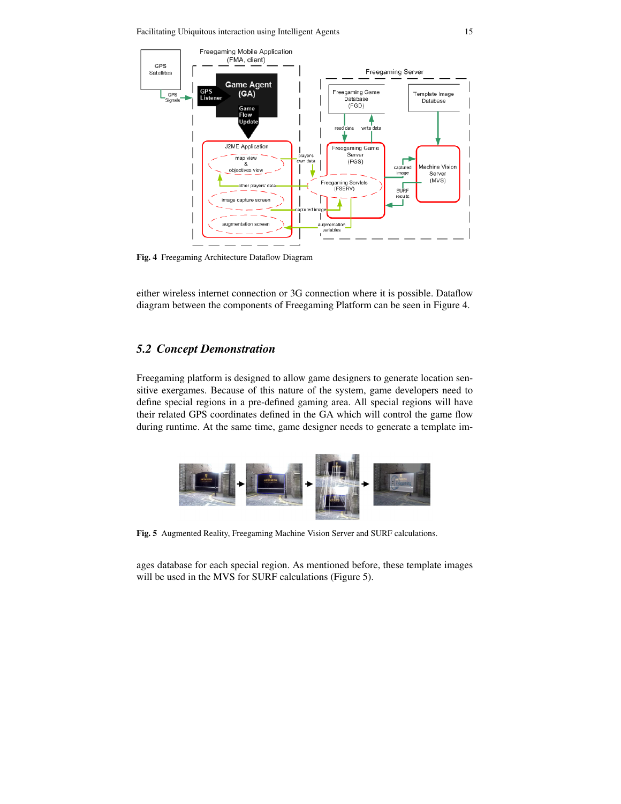

Fig. 4 Freegaming Architecture Dataflow Diagram

either wireless internet connection or 3G connection where it is possible. Dataflow diagram between the components of Freegaming Platform can be seen in Figure 4.

# *5.2 Concept Demonstration*

Freegaming platform is designed to allow game designers to generate location sensitive exergames. Because of this nature of the system, game developers need to define special regions in a pre-defined gaming area. All special regions will have their related GPS coordinates defined in the GA which will control the game flow during runtime. At the same time, game designer needs to generate a template im-



Fig. 5 Augmented Reality, Freegaming Machine Vision Server and SURF calculations.

ages database for each special region. As mentioned before, these template images will be used in the MVS for SURF calculations (Figure 5).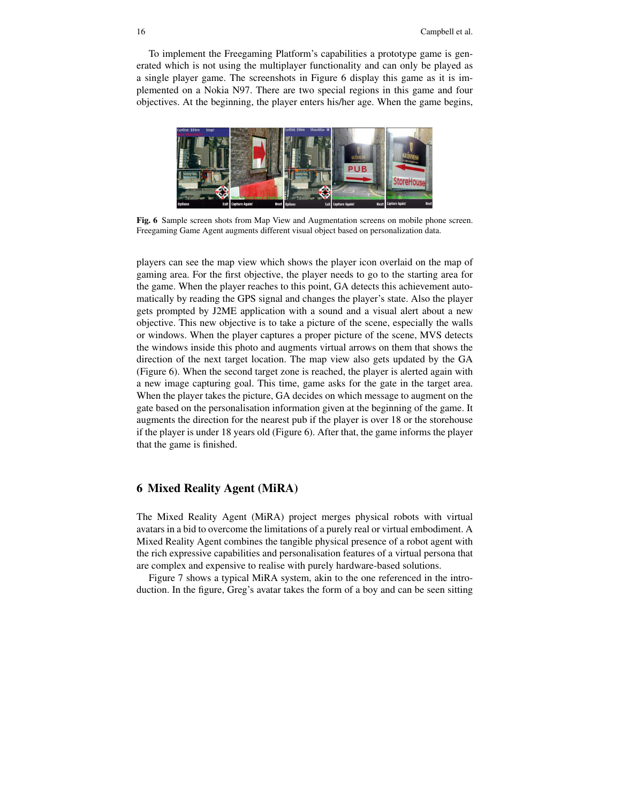To implement the Freegaming Platform's capabilities a prototype game is generated which is not using the multiplayer functionality and can only be played as a single player game. The screenshots in Figure 6 display this game as it is implemented on a Nokia N97. There are two special regions in this game and four objectives. At the beginning, the player enters his/her age. When the game begins,



Fig. 6 Sample screen shots from Map View and Augmentation screens on mobile phone screen. Freegaming Game Agent augments different visual object based on personalization data.

players can see the map view which shows the player icon overlaid on the map of gaming area. For the first objective, the player needs to go to the starting area for the game. When the player reaches to this point, GA detects this achievement automatically by reading the GPS signal and changes the player's state. Also the player gets prompted by J2ME application with a sound and a visual alert about a new objective. This new objective is to take a picture of the scene, especially the walls or windows. When the player captures a proper picture of the scene, MVS detects the windows inside this photo and augments virtual arrows on them that shows the direction of the next target location. The map view also gets updated by the GA (Figure 6). When the second target zone is reached, the player is alerted again with a new image capturing goal. This time, game asks for the gate in the target area. When the player takes the picture, GA decides on which message to augment on the gate based on the personalisation information given at the beginning of the game. It augments the direction for the nearest pub if the player is over 18 or the storehouse if the player is under 18 years old (Figure 6). After that, the game informs the player that the game is finished.

#### 6 Mixed Reality Agent (MiRA)

The Mixed Reality Agent (MiRA) project merges physical robots with virtual avatars in a bid to overcome the limitations of a purely real or virtual embodiment. A Mixed Reality Agent combines the tangible physical presence of a robot agent with the rich expressive capabilities and personalisation features of a virtual persona that are complex and expensive to realise with purely hardware-based solutions.

Figure 7 shows a typical MiRA system, akin to the one referenced in the introduction. In the figure, Greg's avatar takes the form of a boy and can be seen sitting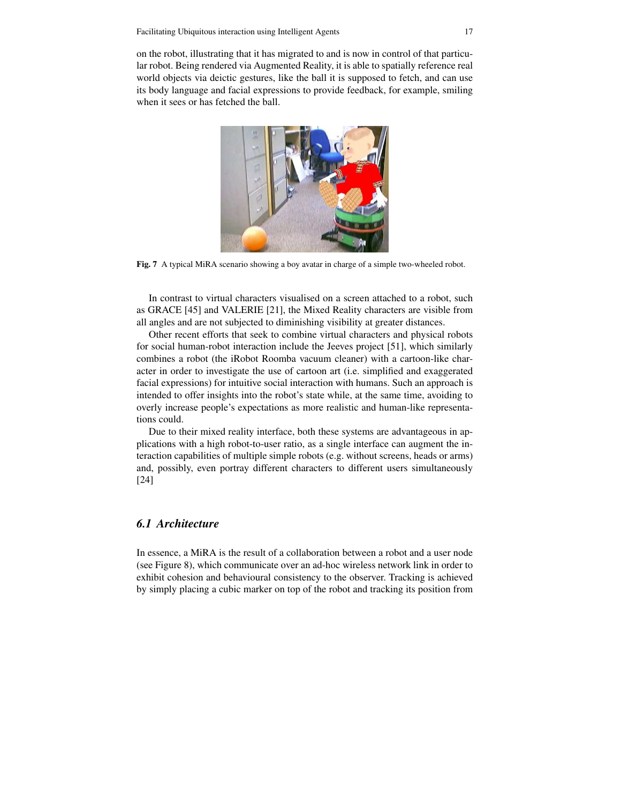on the robot, illustrating that it has migrated to and is now in control of that particular robot. Being rendered via Augmented Reality, it is able to spatially reference real world objects via deictic gestures, like the ball it is supposed to fetch, and can use its body language and facial expressions to provide feedback, for example, smiling when it sees or has fetched the ball.



Fig. 7 A typical MiRA scenario showing a boy avatar in charge of a simple two-wheeled robot.

In contrast to virtual characters visualised on a screen attached to a robot, such as GRACE [45] and VALERIE [21], the Mixed Reality characters are visible from all angles and are not subjected to diminishing visibility at greater distances.

Other recent efforts that seek to combine virtual characters and physical robots for social human-robot interaction include the Jeeves project [51], which similarly combines a robot (the iRobot Roomba vacuum cleaner) with a cartoon-like character in order to investigate the use of cartoon art (i.e. simplified and exaggerated facial expressions) for intuitive social interaction with humans. Such an approach is intended to offer insights into the robot's state while, at the same time, avoiding to overly increase people's expectations as more realistic and human-like representations could.

Due to their mixed reality interface, both these systems are advantageous in applications with a high robot-to-user ratio, as a single interface can augment the interaction capabilities of multiple simple robots (e.g. without screens, heads or arms) and, possibly, even portray different characters to different users simultaneously [24]

# *6.1 Architecture*

In essence, a MiRA is the result of a collaboration between a robot and a user node (see Figure 8), which communicate over an ad-hoc wireless network link in order to exhibit cohesion and behavioural consistency to the observer. Tracking is achieved by simply placing a cubic marker on top of the robot and tracking its position from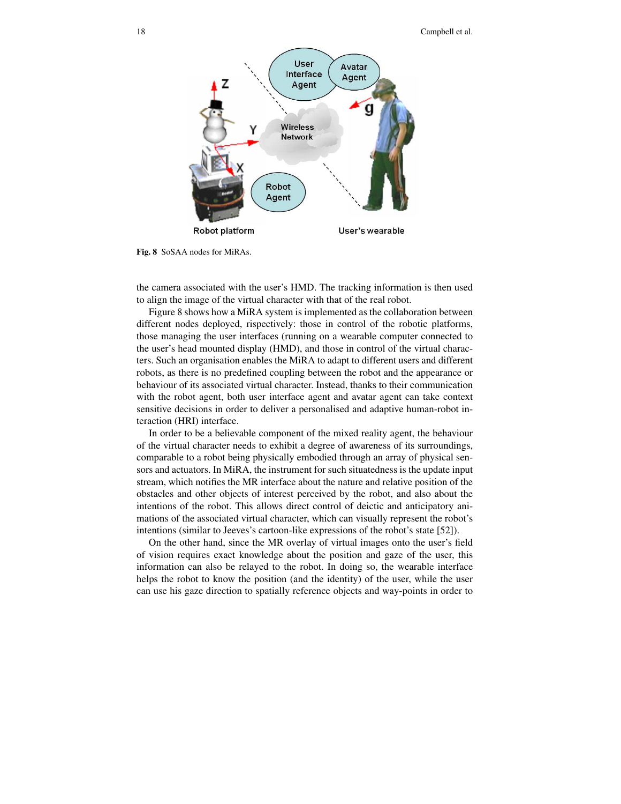

Fig. 8 SoSAA nodes for MiRAs.

the camera associated with the user's HMD. The tracking information is then used to align the image of the virtual character with that of the real robot.

Figure 8 shows how a MiRA system is implemented as the collaboration between different nodes deployed, rispectively: those in control of the robotic platforms, those managing the user interfaces (running on a wearable computer connected to the user's head mounted display (HMD), and those in control of the virtual characters. Such an organisation enables the MiRA to adapt to different users and different robots, as there is no predefined coupling between the robot and the appearance or behaviour of its associated virtual character. Instead, thanks to their communication with the robot agent, both user interface agent and avatar agent can take context sensitive decisions in order to deliver a personalised and adaptive human-robot interaction (HRI) interface.

In order to be a believable component of the mixed reality agent, the behaviour of the virtual character needs to exhibit a degree of awareness of its surroundings, comparable to a robot being physically embodied through an array of physical sensors and actuators. In MiRA, the instrument for such situatedness is the update input stream, which notifies the MR interface about the nature and relative position of the obstacles and other objects of interest perceived by the robot, and also about the intentions of the robot. This allows direct control of deictic and anticipatory animations of the associated virtual character, which can visually represent the robot's intentions (similar to Jeeves's cartoon-like expressions of the robot's state [52]).

On the other hand, since the MR overlay of virtual images onto the user's field of vision requires exact knowledge about the position and gaze of the user, this information can also be relayed to the robot. In doing so, the wearable interface helps the robot to know the position (and the identity) of the user, while the user can use his gaze direction to spatially reference objects and way-points in order to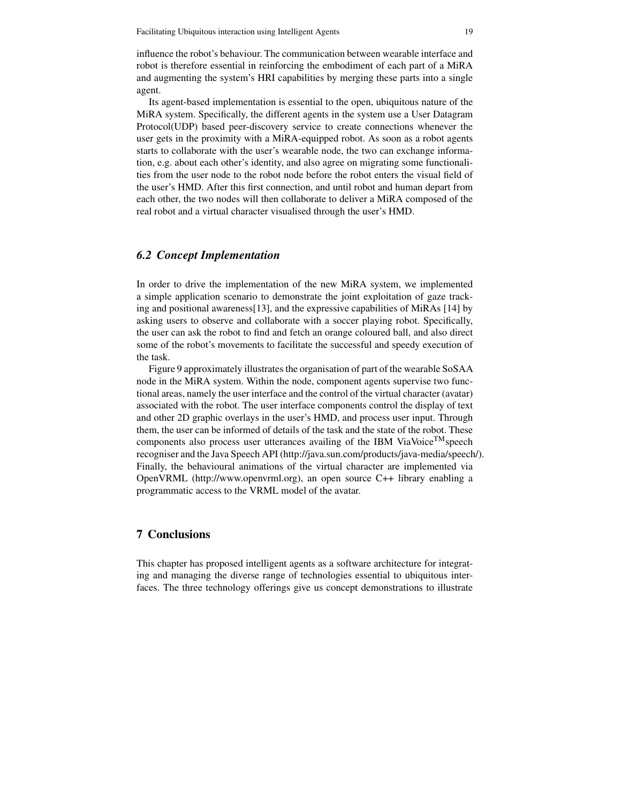influence the robot's behaviour. The communication between wearable interface and robot is therefore essential in reinforcing the embodiment of each part of a MiRA and augmenting the system's HRI capabilities by merging these parts into a single agent.

Its agent-based implementation is essential to the open, ubiquitous nature of the MiRA system. Specifically, the different agents in the system use a User Datagram Protocol(UDP) based peer-discovery service to create connections whenever the user gets in the proximity with a MiRA-equipped robot. As soon as a robot agents starts to collaborate with the user's wearable node, the two can exchange information, e.g. about each other's identity, and also agree on migrating some functionalities from the user node to the robot node before the robot enters the visual field of the user's HMD. After this first connection, and until robot and human depart from each other, the two nodes will then collaborate to deliver a MiRA composed of the real robot and a virtual character visualised through the user's HMD.

#### *6.2 Concept Implementation*

In order to drive the implementation of the new MiRA system, we implemented a simple application scenario to demonstrate the joint exploitation of gaze tracking and positional awareness[13], and the expressive capabilities of MiRAs [14] by asking users to observe and collaborate with a soccer playing robot. Specifically, the user can ask the robot to find and fetch an orange coloured ball, and also direct some of the robot's movements to facilitate the successful and speedy execution of the task.

Figure 9 approximately illustrates the organisation of part of the wearable SoSAA node in the MiRA system. Within the node, component agents supervise two functional areas, namely the user interface and the control of the virtual character (avatar) associated with the robot. The user interface components control the display of text and other 2D graphic overlays in the user's HMD, and process user input. Through them, the user can be informed of details of the task and the state of the robot. These components also process user utterances availing of the IBM ViaVoice<sup>TM</sup>speech recogniser and the Java Speech API (http://java.sun.com/products/java-media/speech/). Finally, the behavioural animations of the virtual character are implemented via OpenVRML (http://www.openvrml.org), an open source C++ library enabling a programmatic access to the VRML model of the avatar.

# 7 Conclusions

This chapter has proposed intelligent agents as a software architecture for integrating and managing the diverse range of technologies essential to ubiquitous interfaces. The three technology offerings give us concept demonstrations to illustrate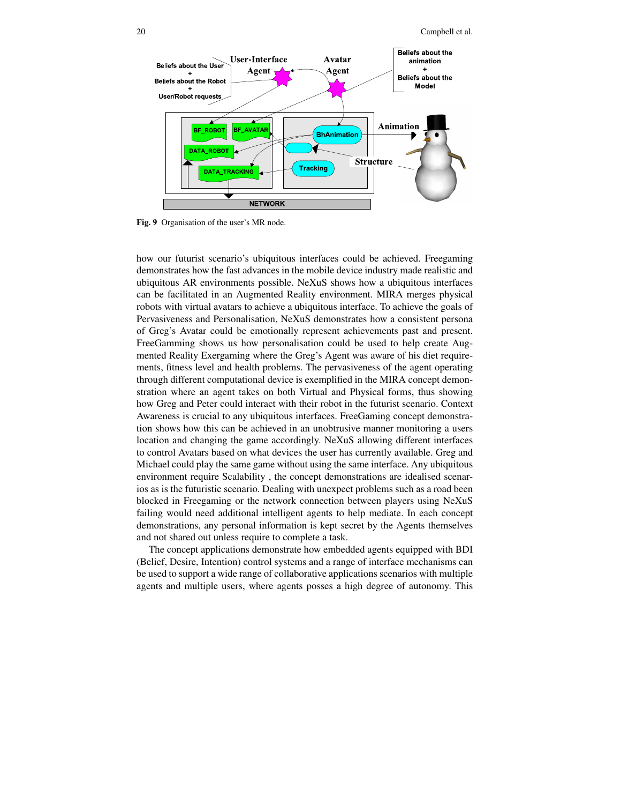

Fig. 9 Organisation of the user's MR node.

how our futurist scenario's ubiquitous interfaces could be achieved. Freegaming demonstrates how the fast advances in the mobile device industry made realistic and ubiquitous AR environments possible. NeXuS shows how a ubiquitous interfaces can be facilitated in an Augmented Reality environment. MIRA merges physical robots with virtual avatars to achieve a ubiquitous interface. To achieve the goals of Pervasiveness and Personalisation, NeXuS demonstrates how a consistent persona of Greg's Avatar could be emotionally represent achievements past and present. FreeGamming shows us how personalisation could be used to help create Augmented Reality Exergaming where the Greg's Agent was aware of his diet requirements, fitness level and health problems. The pervasiveness of the agent operating through different computational device is exemplified in the MIRA concept demonstration where an agent takes on both Virtual and Physical forms, thus showing how Greg and Peter could interact with their robot in the futurist scenario. Context Awareness is crucial to any ubiquitous interfaces. FreeGaming concept demonstration shows how this can be achieved in an unobtrusive manner monitoring a users location and changing the game accordingly. NeXuS allowing different interfaces to control Avatars based on what devices the user has currently available. Greg and Michael could play the same game without using the same interface. Any ubiquitous environment require Scalability , the concept demonstrations are idealised scenarios as is the futuristic scenario. Dealing with unexpect problems such as a road been blocked in Freegaming or the network connection between players using NeXuS failing would need additional intelligent agents to help mediate. In each concept demonstrations, any personal information is kept secret by the Agents themselves and not shared out unless require to complete a task.

The concept applications demonstrate how embedded agents equipped with BDI (Belief, Desire, Intention) control systems and a range of interface mechanisms can be used to support a wide range of collaborative applications scenarios with multiple agents and multiple users, where agents posses a high degree of autonomy. This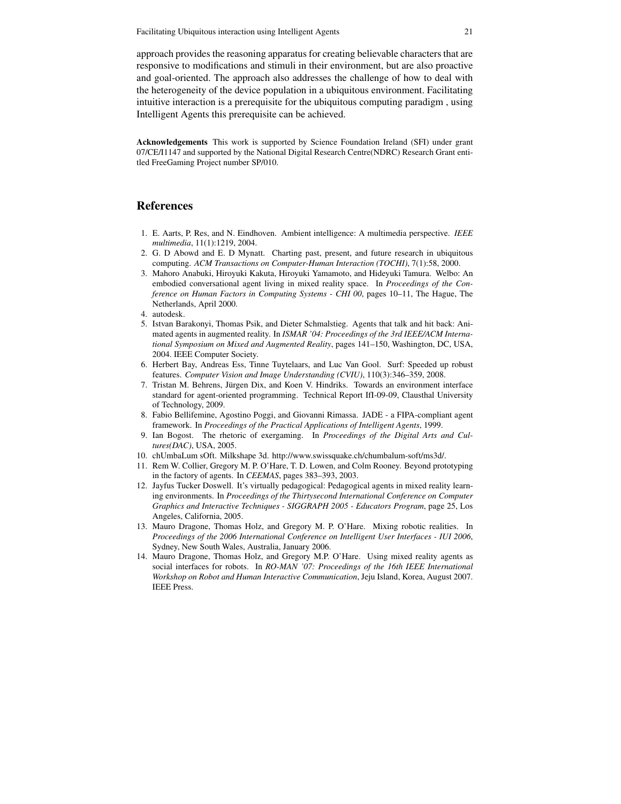approach provides the reasoning apparatus for creating believable characters that are responsive to modifications and stimuli in their environment, but are also proactive and goal-oriented. The approach also addresses the challenge of how to deal with the heterogeneity of the device population in a ubiquitous environment. Facilitating intuitive interaction is a prerequisite for the ubiquitous computing paradigm , using Intelligent Agents this prerequisite can be achieved.

Acknowledgements This work is supported by Science Foundation Ireland (SFI) under grant 07/CE/I1147 and supported by the National Digital Research Centre(NDRC) Research Grant entitled FreeGaming Project number SP/010.

### References

- 1. E. Aarts, P. Res, and N. Eindhoven. Ambient intelligence: A multimedia perspective. *IEEE multimedia*, 11(1):1219, 2004.
- 2. G. D Abowd and E. D Mynatt. Charting past, present, and future research in ubiquitous computing. *ACM Transactions on Computer-Human Interaction (TOCHI)*, 7(1):58, 2000.
- 3. Mahoro Anabuki, Hiroyuki Kakuta, Hiroyuki Yamamoto, and Hideyuki Tamura. Welbo: An embodied conversational agent living in mixed reality space. In *Proceedings of the Conference on Human Factors in Computing Systems - CHI 00*, pages 10–11, The Hague, The Netherlands, April 2000.
- 4. autodesk.
- 5. Istvan Barakonyi, Thomas Psik, and Dieter Schmalstieg. Agents that talk and hit back: Animated agents in augmented reality. In *ISMAR '04: Proceedings of the 3rd IEEE/ACM International Symposium on Mixed and Augmented Reality*, pages 141–150, Washington, DC, USA, 2004. IEEE Computer Society.
- 6. Herbert Bay, Andreas Ess, Tinne Tuytelaars, and Luc Van Gool. Surf: Speeded up robust features. *Computer Vision and Image Understanding (CVIU)*, 110(3):346–359, 2008.
- 7. Tristan M. Behrens, Jürgen Dix, and Koen V. Hindriks. Towards an environment interface standard for agent-oriented programming. Technical Report IfI-09-09, Clausthal University of Technology, 2009.
- 8. Fabio Bellifemine, Agostino Poggi, and Giovanni Rimassa. JADE a FIPA-compliant agent framework. In *Proceedings of the Practical Applications of Intelligent Agents*, 1999.
- 9. Ian Bogost. The rhetoric of exergaming. In *Proceedings of the Digital Arts and Cultures(DAC)*, USA, 2005.
- 10. chUmbaLum sOft. Milkshape 3d. http://www.swissquake.ch/chumbalum-soft/ms3d/.
- 11. Rem W. Collier, Gregory M. P. O'Hare, T. D. Lowen, and Colm Rooney. Beyond prototyping in the factory of agents. In *CEEMAS*, pages 383–393, 2003.
- 12. Jayfus Tucker Doswell. It's virtually pedagogical: Pedagogical agents in mixed reality learning environments. In *Proceedings of the Thirtysecond International Conference on Computer Graphics and Interactive Techniques - SIGGRAPH 2005 - Educators Program*, page 25, Los Angeles, California, 2005.
- 13. Mauro Dragone, Thomas Holz, and Gregory M. P. O'Hare. Mixing robotic realities. In *Proceedings of the 2006 International Conference on Intelligent User Interfaces - IUI 2006*, Sydney, New South Wales, Australia, January 2006.
- 14. Mauro Dragone, Thomas Holz, and Gregory M.P. O'Hare. Using mixed reality agents as social interfaces for robots. In *RO-MAN '07: Proceedings of the 16th IEEE International Workshop on Robot and Human Interactive Communication*, Jeju Island, Korea, August 2007. IEEE Press.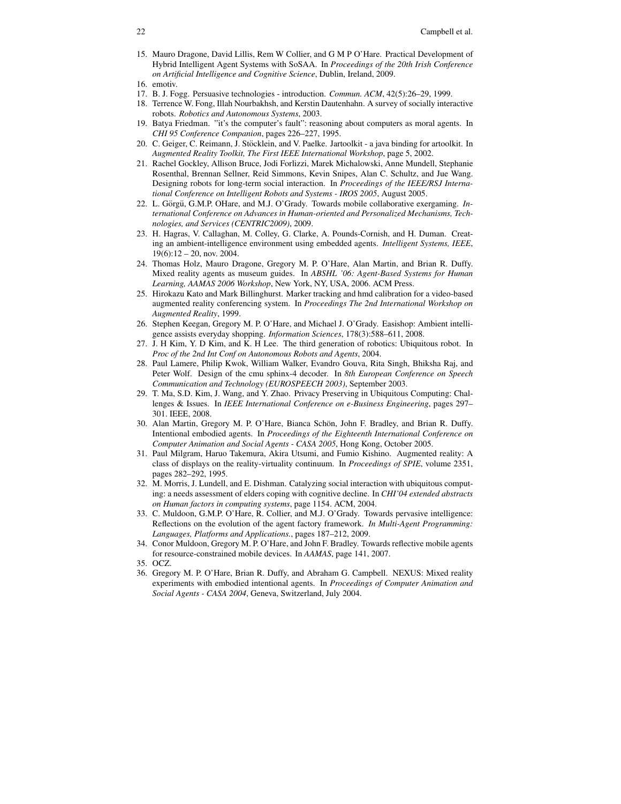- 15. Mauro Dragone, David Lillis, Rem W Collier, and G M P O'Hare. Practical Development of Hybrid Intelligent Agent Systems with SoSAA. In *Proceedings of the 20th Irish Conference on Artificial Intelligence and Cognitive Science*, Dublin, Ireland, 2009.
- 16. emotiv.
- 17. B. J. Fogg. Persuasive technologies introduction. *Commun. ACM*, 42(5):26–29, 1999.
- 18. Terrence W. Fong, Illah Nourbakhsh, and Kerstin Dautenhahn. A survey of socially interactive robots. *Robotics and Autonomous Systems*, 2003.
- 19. Batya Friedman. "it's the computer's fault": reasoning about computers as moral agents. In *CHI 95 Conference Companion*, pages 226–227, 1995.
- 20. C. Geiger, C. Reimann, J. Stöcklein, and V. Paelke. Jartoolkit a java binding for artoolkit. In *Augmented Reality Toolkit, The First IEEE International Workshop*, page 5, 2002.
- 21. Rachel Gockley, Allison Bruce, Jodi Forlizzi, Marek Michalowski, Anne Mundell, Stephanie Rosenthal, Brennan Sellner, Reid Simmons, Kevin Snipes, Alan C. Schultz, and Jue Wang. Designing robots for long-term social interaction. In *Proceedings of the IEEE/RSJ International Conference on Intelligent Robots and Systems - IROS 2005*, August 2005.
- 22. L. Görgü, G.M.P. OHare, and M.J. O'Grady. Towards mobile collaborative exergaming. *International Conference on Advances in Human-oriented and Personalized Mechanisms, Technologies, and Services (CENTRIC2009)*, 2009.
- 23. H. Hagras, V. Callaghan, M. Colley, G. Clarke, A. Pounds-Cornish, and H. Duman. Creating an ambient-intelligence environment using embedded agents. *Intelligent Systems, IEEE*,  $19(6):12 - 20$ , nov. 2004.
- 24. Thomas Holz, Mauro Dragone, Gregory M. P. O'Hare, Alan Martin, and Brian R. Duffy. Mixed reality agents as museum guides. In *ABSHL '06: Agent-Based Systems for Human Learning, AAMAS 2006 Workshop*, New York, NY, USA, 2006. ACM Press.
- 25. Hirokazu Kato and Mark Billinghurst. Marker tracking and hmd calibration for a video-based augmented reality conferencing system. In *Proceedings The 2nd International Workshop on Augmented Reality*, 1999.
- 26. Stephen Keegan, Gregory M. P. O'Hare, and Michael J. O'Grady. Easishop: Ambient intelligence assists everyday shopping. *Information Sciences*, 178(3):588–611, 2008.
- 27. J. H Kim, Y. D Kim, and K. H Lee. The third generation of robotics: Ubiquitous robot. In *Proc of the 2nd Int Conf on Autonomous Robots and Agents*, 2004.
- 28. Paul Lamere, Philip Kwok, William Walker, Evandro Gouva, Rita Singh, Bhiksha Raj, and Peter Wolf. Design of the cmu sphinx-4 decoder. In *8th European Conference on Speech Communication and Technology (EUROSPEECH 2003)*, September 2003.
- 29. T. Ma, S.D. Kim, J. Wang, and Y. Zhao. Privacy Preserving in Ubiquitous Computing: Challenges & Issues. In *IEEE International Conference on e-Business Engineering*, pages 297– 301. IEEE, 2008.
- 30. Alan Martin, Gregory M. P. O'Hare, Bianca Schön, John F. Bradley, and Brian R. Duffy. Intentional embodied agents. In *Proceedings of the Eighteenth International Conference on Computer Animation and Social Agents - CASA 2005*, Hong Kong, October 2005.
- 31. Paul Milgram, Haruo Takemura, Akira Utsumi, and Fumio Kishino. Augmented reality: A class of displays on the reality-virtuality continuum. In *Proceedings of SPIE*, volume 2351, pages 282–292, 1995.
- 32. M. Morris, J. Lundell, and E. Dishman. Catalyzing social interaction with ubiquitous computing: a needs assessment of elders coping with cognitive decline. In *CHI'04 extended abstracts on Human factors in computing systems*, page 1154. ACM, 2004.
- 33. C. Muldoon, G.M.P. O'Hare, R. Collier, and M.J. O'Grady. Towards pervasive intelligence: Reflections on the evolution of the agent factory framework. *In Multi-Agent Programming: Languages, Platforms and Applications.*, pages 187–212, 2009.
- 34. Conor Muldoon, Gregory M. P. O'Hare, and John F. Bradley. Towards reflective mobile agents for resource-constrained mobile devices. In *AAMAS*, page 141, 2007.
- 35. OCZ.
- 36. Gregory M. P. O'Hare, Brian R. Duffy, and Abraham G. Campbell. NEXUS: Mixed reality experiments with embodied intentional agents. In *Proceedings of Computer Animation and Social Agents - CASA 2004*, Geneva, Switzerland, July 2004.